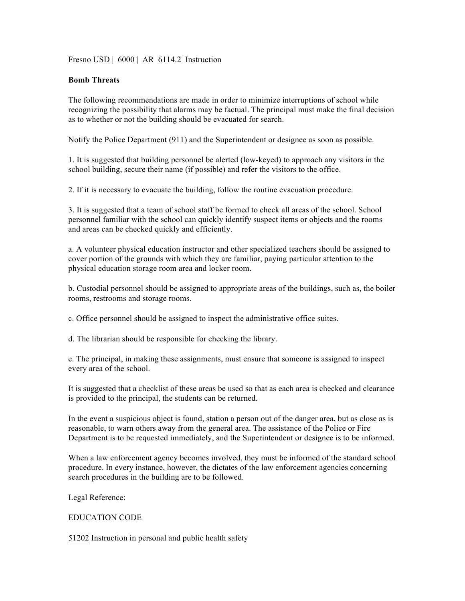## Fresno USD | 6000 | AR 6114.2 Instruction

## **Bomb Threats**

The following recommendations are made in order to minimize interruptions of school while recognizing the possibility that alarms may be factual. The principal must make the final decision as to whether or not the building should be evacuated for search.

Notify the Police Department (911) and the Superintendent or designee as soon as possible.

1. It is suggested that building personnel be alerted (low-keyed) to approach any visitors in the school building, secure their name (if possible) and refer the visitors to the office.

2. If it is necessary to evacuate the building, follow the routine evacuation procedure.

3. It is suggested that a team of school staff be formed to check all areas of the school. School personnel familiar with the school can quickly identify suspect items or objects and the rooms and areas can be checked quickly and efficiently.

a. A volunteer physical education instructor and other specialized teachers should be assigned to cover portion of the grounds with which they are familiar, paying particular attention to the physical education storage room area and locker room.

b. Custodial personnel should be assigned to appropriate areas of the buildings, such as, the boiler rooms, restrooms and storage rooms.

c. Office personnel should be assigned to inspect the administrative office suites.

d. The librarian should be responsible for checking the library.

e. The principal, in making these assignments, must ensure that someone is assigned to inspect every area of the school.

It is suggested that a checklist of these areas be used so that as each area is checked and clearance is provided to the principal, the students can be returned.

In the event a suspicious object is found, station a person out of the danger area, but as close as is reasonable, to warn others away from the general area. The assistance of the Police or Fire Department is to be requested immediately, and the Superintendent or designee is to be informed.

When a law enforcement agency becomes involved, they must be informed of the standard school procedure. In every instance, however, the dictates of the law enforcement agencies concerning search procedures in the building are to be followed.

Legal Reference:

## EDUCATION CODE

51202 Instruction in personal and public health safety